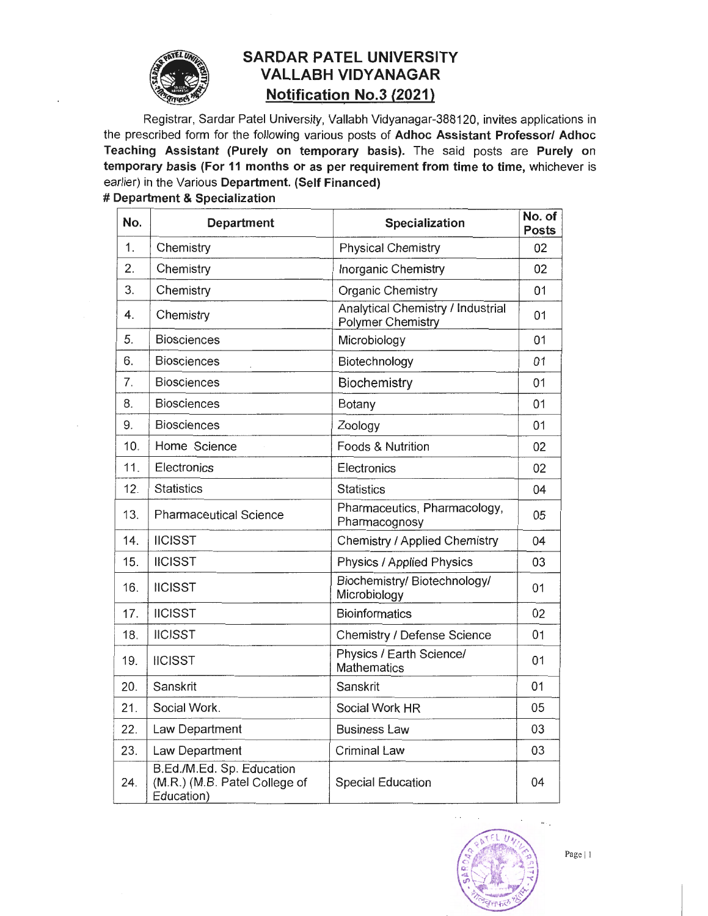

## **SAROAR PATEL UNIVERSITY VALLABH VIDYANAGAR Notification No.3 (2021)**

Registrar, Sardar Patel University, Vallabh Vidyanagar-388120, invites applications in the prescribed form for the following various posts of Adhoc Assistant Professor/ Adhoc Teaching Assistant (Purely on temporary basis). The said posts are Purely on temporary basis (For 11 months or as per requirement from time to time, whichever is earlier) in the Various Department. (Self Financed)

| No. | <b>Department</b>                                                        | Specialization                                                | No. of<br><b>Posts</b> |
|-----|--------------------------------------------------------------------------|---------------------------------------------------------------|------------------------|
| 1.  | Chemistry                                                                | <b>Physical Chemistry</b>                                     | 02                     |
| 2.  | Chemistry                                                                | Inorganic Chemistry                                           | 02                     |
| 3.  | Chemistry                                                                | <b>Organic Chemistry</b>                                      | 01                     |
| 4.  | Chemistry                                                                | Analytical Chemistry / Industrial<br><b>Polymer Chemistry</b> | 01                     |
| 5.  | <b>Biosciences</b>                                                       | Microbiology                                                  | 01                     |
| 6.  | <b>Biosciences</b>                                                       | Biotechnology                                                 | 01                     |
| 7.  | <b>Biosciences</b>                                                       | Biochemistry                                                  | 01                     |
| 8.  | <b>Biosciences</b>                                                       | Botany                                                        | 01                     |
| 9.  | <b>Biosciences</b>                                                       | Zoology                                                       | 01                     |
| 10. | Home Science                                                             | Foods & Nutrition                                             | 02                     |
| 11. | Electronics                                                              | Electronics                                                   | 02                     |
| 12. | <b>Statistics</b>                                                        | <b>Statistics</b>                                             | 04                     |
| 13. | <b>Pharmaceutical Science</b>                                            | Pharmaceutics, Pharmacology,<br>Pharmacognosy                 | 05                     |
| 14. | <b>IICISST</b>                                                           | Chemistry / Applied Chemistry                                 | 04                     |
| 15. | <b>IICISST</b>                                                           | Physics / Applied Physics                                     | 03                     |
| 16. | <b>IICISST</b>                                                           | Biochemistry/ Biotechnology/<br>Microbiology                  | 01                     |
| 17. | <b>IICISST</b>                                                           | <b>Bioinformatics</b>                                         | 02                     |
| 18. | <b>IICISST</b>                                                           | Chemistry / Defense Science                                   | 01                     |
| 19. | <b>IICISST</b>                                                           | Physics / Earth Science/<br><b>Mathematics</b>                | 01                     |
| 20. | Sanskrit                                                                 | Sanskrit                                                      | 01                     |
| 21. | Social Work.                                                             | Social Work HR                                                | 05                     |
| 22. | Law Department                                                           | <b>Business Law</b>                                           | 03                     |
| 23. | Law Department                                                           | <b>Criminal Law</b>                                           | 03                     |
| 24. | B.Ed./M.Ed. Sp. Education<br>(M.R.) (M.B. Patel College of<br>Education) | <b>Special Education</b>                                      | 04                     |

#### # Department & Specialization

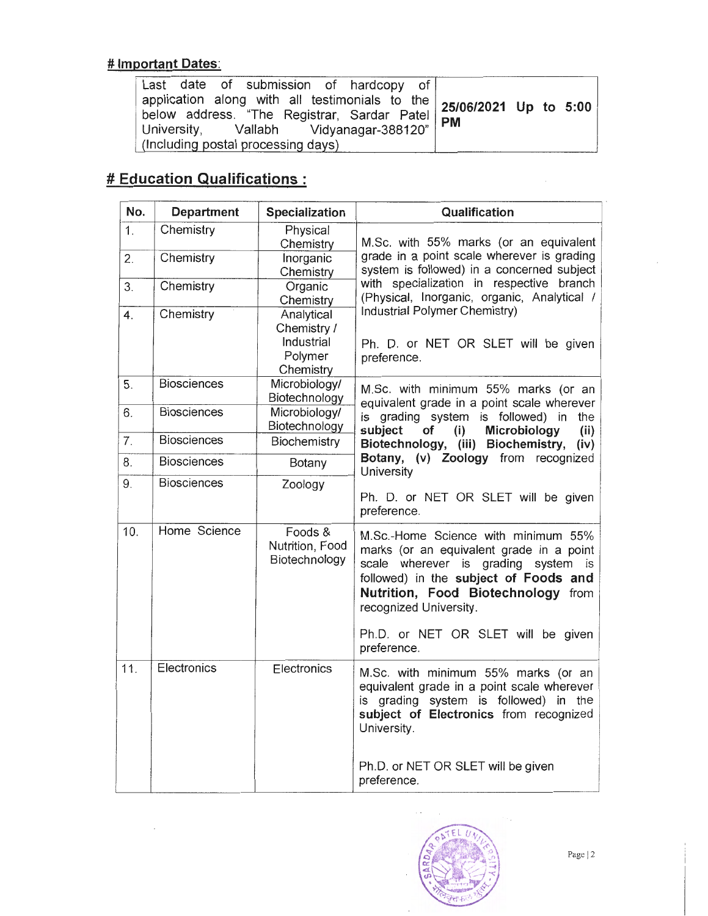## # Important Dates:

| Last date of submission of hardcopy of                                                                                                                              |  |  |
|---------------------------------------------------------------------------------------------------------------------------------------------------------------------|--|--|
| application along with all testimonials to the 25/06/2021 Up to 5:00<br>below address. "The Registrar, Sardar Patel PM<br>University, Vallabh Vidyanagar-388120" PM |  |  |
|                                                                                                                                                                     |  |  |
|                                                                                                                                                                     |  |  |
| (Including postal processing days)                                                                                                                                  |  |  |

# **# Education Qualifications :**

| No.            | <b>Department</b>  | <b>Specialization</b>                                           | Qualification                                                                                                                                                                                                                      |  |
|----------------|--------------------|-----------------------------------------------------------------|------------------------------------------------------------------------------------------------------------------------------------------------------------------------------------------------------------------------------------|--|
| 1.             | Chemistry          | Physical<br>Chemistry                                           | M.Sc. with 55% marks (or an equivalent<br>grade in a point scale wherever is grading<br>system is followed) in a concerned subject<br>with specialization in respective branch<br>(Physical, Inorganic, organic, Analytical /      |  |
| 2.             | Chemistry          | Inorganic<br>Chemistry                                          |                                                                                                                                                                                                                                    |  |
| 3.             | Chemistry          | Organic<br>Chemistry                                            |                                                                                                                                                                                                                                    |  |
| 4.             | Chemistry          | Analytical<br>Chemistry /<br>Industrial<br>Polymer<br>Chemistry | Industrial Polymer Chemistry)<br>Ph. D. or NET OR SLET will be given<br>preference.                                                                                                                                                |  |
| 5.             | <b>Biosciences</b> | Microbiology/<br>Biotechnology                                  | M.Sc. with minimum 55% marks (or an<br>equivalent grade in a point scale wherever<br>is grading system is followed) in<br>the<br>Microbiology<br>subject<br>(i)<br>(ii)<br>of                                                      |  |
| 6.             | <b>Biosciences</b> | Microbiology/<br>Biotechnology                                  |                                                                                                                                                                                                                                    |  |
| 7 <sub>1</sub> | <b>Biosciences</b> | Biochemistry                                                    | Biotechnology, (iii) Biochemistry,<br>(iv)                                                                                                                                                                                         |  |
| 8.             | <b>Biosciences</b> | Botany                                                          | Botany, (v) Zoology from recognized<br>University                                                                                                                                                                                  |  |
| 9.             | <b>Biosciences</b> | Zoology                                                         | Ph. D. or NET OR SLET will be given<br>preference.                                                                                                                                                                                 |  |
| 10.            | Home Science       | Foods &<br>Nutrition, Food<br>Biotechnology                     | M.Sc.-Home Science with minimum 55%<br>marks (or an equivalent grade in a point<br>wherever is grading system is<br>scale<br>followed) in the subject of Foods and<br>Nutrition, Food Biotechnology from<br>recognized University. |  |
|                |                    |                                                                 | Ph.D. or NET OR SLET will be given<br>preference.                                                                                                                                                                                  |  |
| 11.            | Electronics        | Electronics                                                     | M.Sc. with minimum 55% marks (or an<br>equivalent grade in a point scale wherever<br>is grading system is followed) in the<br>subject of Electronics from recognized<br>University.                                                |  |
|                |                    |                                                                 | Ph.D. or NET OR SLET will be given<br>preference.                                                                                                                                                                                  |  |



 $\bar{z}$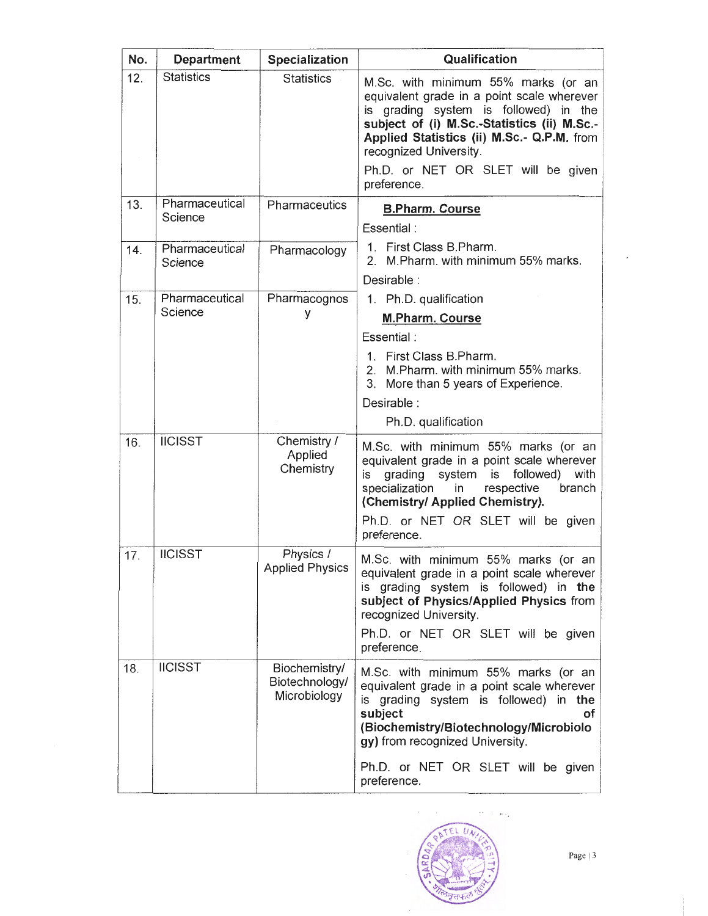| No. | <b>Department</b>         | <b>Specialization</b>                           | Qualification                                                                                                                                                                                                                                                                   |
|-----|---------------------------|-------------------------------------------------|---------------------------------------------------------------------------------------------------------------------------------------------------------------------------------------------------------------------------------------------------------------------------------|
| 12. | <b>Statistics</b>         | <b>Statistics</b>                               | M.Sc. with minimum 55% marks (or an<br>equivalent grade in a point scale wherever<br>is grading system is followed) in the<br>subject of (i) M.Sc.-Statistics (ii) M.Sc.-<br>Applied Statistics (ii) M.Sc.- Q.P.M. from<br>recognized University.                               |
|     |                           |                                                 | Ph.D. or NET OR SLET will be given<br>preference.                                                                                                                                                                                                                               |
| 13. | Pharmaceutical<br>Science | Pharmaceutics                                   | <b>B.Pharm. Course</b><br>Essential:                                                                                                                                                                                                                                            |
| 14. | Pharmaceutical<br>Science | Pharmacology                                    | 1. First Class B.Pharm.<br>2. M. Pharm. with minimum 55% marks.                                                                                                                                                                                                                 |
|     |                           |                                                 | Desirable :                                                                                                                                                                                                                                                                     |
| 15. | Pharmaceutical            | Pharmacognos                                    | 1. Ph.D. qualification                                                                                                                                                                                                                                                          |
|     | Science                   | у                                               | <b>M.Pharm. Course</b>                                                                                                                                                                                                                                                          |
|     |                           |                                                 | Essential:                                                                                                                                                                                                                                                                      |
|     |                           |                                                 | 1. First Class B.Pharm.<br>2. M. Pharm. with minimum 55% marks.<br>3. More than 5 years of Experience.                                                                                                                                                                          |
|     |                           |                                                 | Desirable:                                                                                                                                                                                                                                                                      |
|     |                           |                                                 | Ph.D. qualification                                                                                                                                                                                                                                                             |
| 16. | <b>IICISST</b>            | Chemistry /<br>Applied<br>Chemistry             | M.Sc. with minimum 55% marks (or an<br>equivalent grade in a point scale wherever<br>is<br>followed)<br>with<br>grading<br>system<br>is<br>specialization<br>respective<br>in<br>branch<br>(Chemistry/ Applied Chemistry).<br>Ph.D. or NET OR SLET will be given<br>preference. |
| 17. | <b>IICISST</b>            | Physics /<br><b>Applied Physics</b>             | M.Sc. with minimum 55% marks (or an<br>equivalent grade in a point scale wherever<br>is grading system is followed) in the<br>subject of Physics/Applied Physics from<br>recognized University.<br>Ph.D. or NET OR SLET will be given<br>preference.                            |
| 18. | <b>IICISST</b>            | Biochemistry/<br>Biotechnology/<br>Microbiology | M.Sc. with minimum 55% marks (or an<br>equivalent grade in a point scale wherever<br>is grading system is followed) in the<br>subject<br>οf<br>(Biochemistry/Biotechnology/Microbiolo<br>gy) from recognized University.<br>Ph.D. or NET OR SLET will be given<br>preference.   |

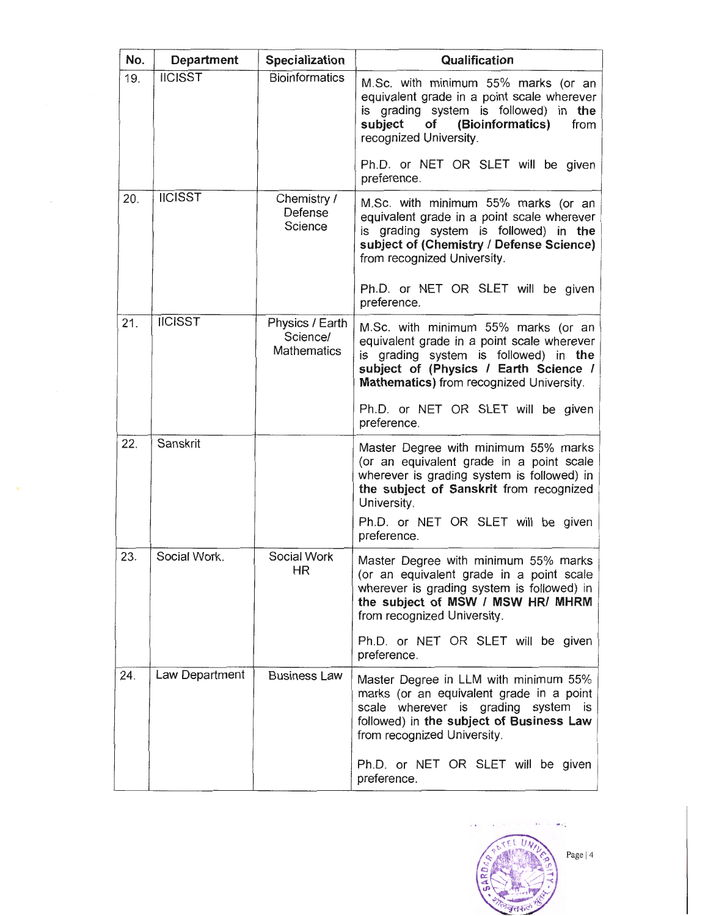| No. | Department     | <b>Specialization</b>                             | Qualification                                                                                                                                                                                                   |
|-----|----------------|---------------------------------------------------|-----------------------------------------------------------------------------------------------------------------------------------------------------------------------------------------------------------------|
| 19. | <b>IICISST</b> | Bioinformatics                                    | M.Sc. with minimum 55% marks (or an<br>equivalent grade in a point scale wherever<br>is grading system is followed) in the<br>of (Bioinformatics)<br>subject<br>from<br>recognized University.                  |
|     |                |                                                   | Ph.D. or NET OR SLET will be given<br>preference.                                                                                                                                                               |
| 20. | <b>IICISST</b> | Chemistry /<br>Defense<br>Science                 | M.Sc. with minimum 55% marks (or an<br>equivalent grade in a point scale wherever<br>is grading system is followed) in the<br>subject of (Chemistry / Defense Science)<br>from recognized University.           |
|     |                |                                                   | Ph.D. or NET OR SLET will be given<br>preference.                                                                                                                                                               |
| 21. | <b>IICISST</b> | Physics / Earth<br>Science/<br><b>Mathematics</b> | M.Sc. with minimum 55% marks (or an<br>equivalent grade in a point scale wherever<br>is grading system is followed) in the<br>subject of (Physics / Earth Science /<br>Mathematics) from recognized University. |
|     |                |                                                   | Ph.D. or NET OR SLET will be given<br>preference.                                                                                                                                                               |
| 22. | Sanskrit       |                                                   | Master Degree with minimum 55% marks<br>(or an equivalent grade in a point scale<br>wherever is grading system is followed) in<br>the subject of Sanskrit from recognized<br>University.                        |
|     |                |                                                   | Ph.D. or NET OR SLET will be given<br>preference.                                                                                                                                                               |
| 23. | Social Work.   | Social Work<br><b>HR</b>                          | Master Degree with minimum 55% marks<br>(or an equivalent grade in a point scale<br>wherever is grading system is followed) in<br>the subject of MSW / MSW HR/ MHRM<br>from recognized University.              |
|     |                |                                                   | Ph.D. or NET OR SLET will be given<br>preference.                                                                                                                                                               |
| 24. | Law Department | <b>Business Law</b>                               | Master Degree in LLM with minimum 55%<br>marks (or an equivalent grade in a point<br>scale wherever is grading system<br>is<br>followed) in the subject of Business Law<br>from recognized University.          |
|     |                |                                                   | Ph.D. or NET OR SLET will be given<br>preference.                                                                                                                                                               |

 $\bar{z}$ 

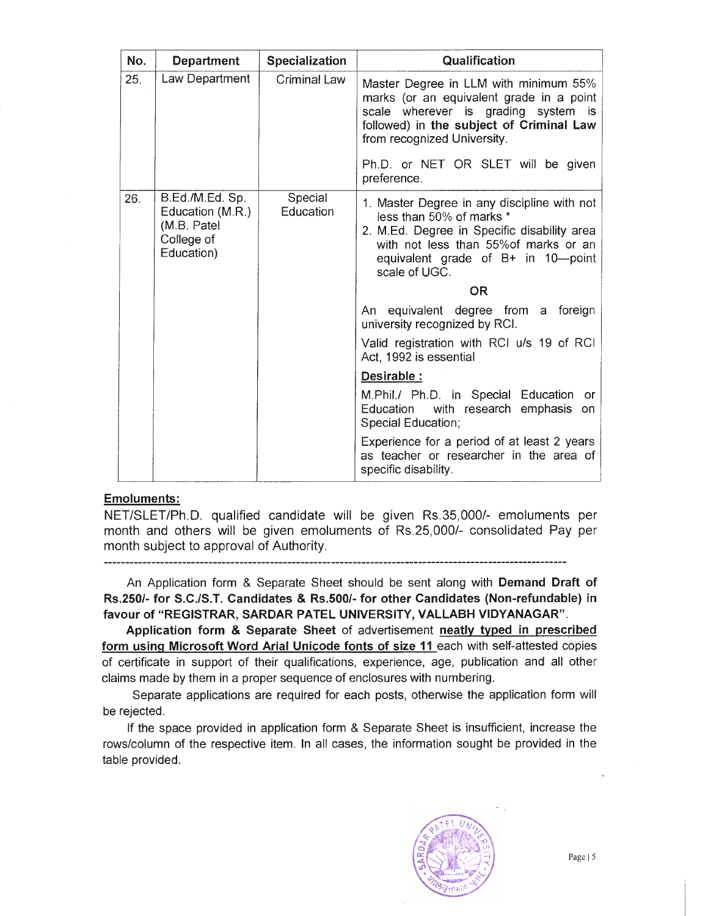| No. | <b>Department</b>                                           | <b>Specialization</b> | Qualification                                                                                                                                                                                                                                            |
|-----|-------------------------------------------------------------|-----------------------|----------------------------------------------------------------------------------------------------------------------------------------------------------------------------------------------------------------------------------------------------------|
| 25. | Law Department                                              | <b>Criminal Law</b>   | Master Degree in LLM with minimum 55%<br>marks (or an equivalent grade in a point<br>scale wherever is grading system is<br>followed) in the subject of Criminal Law<br>from recognized University.<br>Ph.D. or NET OR SLET will be given<br>preference. |
| 26. | B.Ed./M.Ed. Sp.                                             | Special               |                                                                                                                                                                                                                                                          |
|     | Education (M.R.)<br>(M.B. Patel<br>College of<br>Education) | Education             | 1. Master Degree in any discipline with not<br>less than 50% of marks *<br>2. M.Ed. Degree in Specific disability area<br>with not less than 55% of marks or an<br>equivalent grade of B+ in 10-point<br>scale of UGC.                                   |
|     |                                                             |                       | <b>OR</b>                                                                                                                                                                                                                                                |
|     |                                                             |                       | An equivalent degree from a foreign<br>university recognized by RCI.                                                                                                                                                                                     |
|     |                                                             |                       | Valid registration with RCI u/s 19 of RCI<br>Act, 1992 is essential                                                                                                                                                                                      |
|     |                                                             |                       | Desirable :                                                                                                                                                                                                                                              |
|     |                                                             |                       | M.Phil./ Ph.D. in Special Education<br><b>or</b><br>Education<br>with research emphasis<br>on<br>Special Education;                                                                                                                                      |
|     |                                                             |                       | Experience for a period of at least 2 years<br>as teacher or researcher in the area of<br>specific disability.                                                                                                                                           |

#### Emoluments:

NET/SLET/Ph.D. qualified candidate will be given Rs.35,000/- emoluments per month and others will be given emoluments of Rs.25,000/- consolidated Pay per month subject to approval of Authority.

An Application form & Separate Sheet should be sent along with Demand Draft of Rs.250/- for S.C./S.T. Candidates & Rs.500/- for other Candidates (Non-refundable) in favour of "REGISTRAR, SARDAR PATEL UNIVERSITY, VALLABH VIDYANAGAR".

Application form & Separate Sheet of advertisement neatly typed in prescribed form using Microsoft Word Arial Unicode fonts of size 11 each with self-attested copies of certificate in support of their qualifications, experience, age, publication and all other claims made by them in a proper sequence of enclosures with numbering.

Separate applications are required for each posts, otherwise the application form will be rejected.

If the space provided in application form & Separate Sheet is insufficient, increase the rows/column of the respective item. In all cases, the information sought be provided in the table provided.

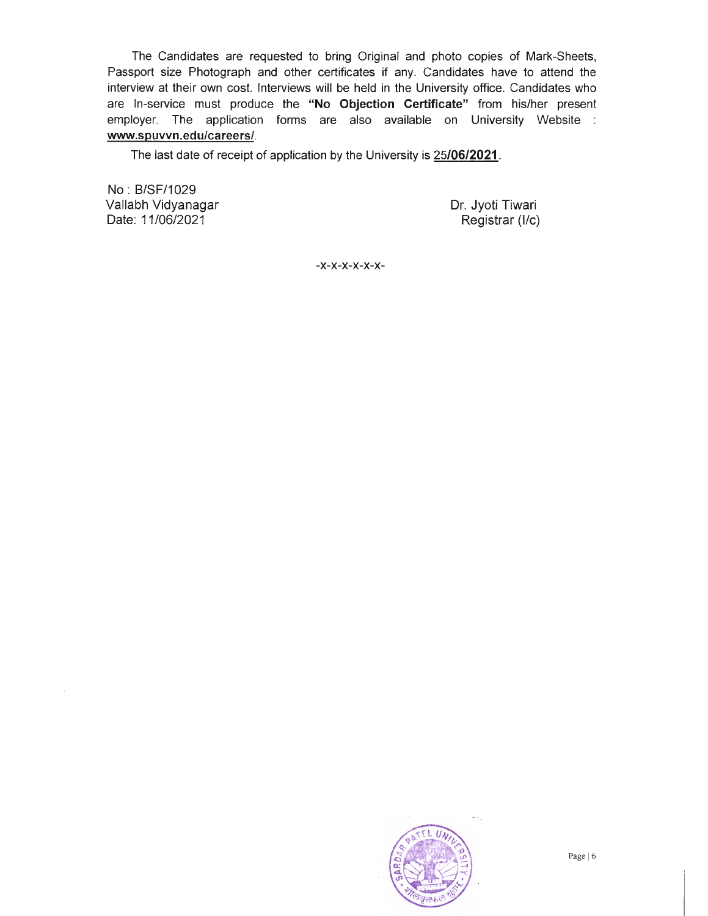The Candidates are requested to bring Original and photo copies of Mark-Sheets, Passport size Photograph and other certificates if any. Candidates have to attend the interview at their own cost. Interviews will be held in the University office. Candidates who are In-service must produce the **"No Objection Certificate"** from his/her present employer. The application forms are also available on University Website : **www.spuvvn.edu/careers/.** 

The last date of receipt of application by the University is **25/06/2021 .** 

No : 8/SF/1029 Vallabh Vidyanagar Date: 11/06/2021

Dr. Jyoti Tiwari Registrar **(1/c)** 

-x-x-x-x-x-x-

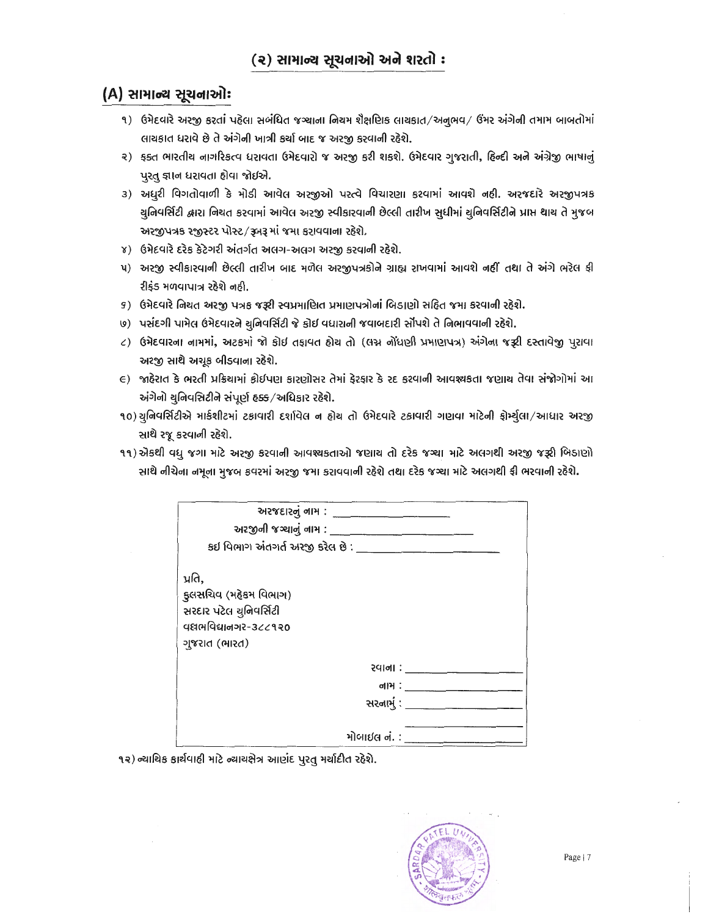## (A) સામાન્ય સૂચનાઓ:

- ૧) ઉમેદવારે અરજી કરતાં પહેલા સબંધિત જગ્યાના નિચમ શૈક્ષણિક લાચકાત/અનૂભવ/ ઉમર અંગેની તમામ બાબતોમાં લાયકાત ધરાવે છે તે અંગેની ખાત્રી કર્યા બાદ જ અરજી કરવાની રહેશે.
- ૨) ક્ક્ત ભારતીય નાગરિકત્વ ધરાવતા ઉમેદવારો જ અરજી કરી શકશે. ઉમેદવાર ગુજરાતી, હિન્દી અને અંગ્રેજી ભાષાનું પુરતુ જ્ઞાન ધરાવતા હોવા જોઈએ.
- ૩) અધુરી વિગતોવાળી કે મોડી આવેલ અરજીઓ પરત્વે વિચારણા કરવામાં આવશે નહી. અરજદારે અરજીપત્રક ચુનિવર્સિટી દ્વારા નિચત કરવામાં આવેલ અરજી સ્વીકારવાની છેલ્લી તારીખ સુધીમાં ચુનિવર્સિટીને પ્રાપ્ત થાચ તે મુજબ અરજીપત્રક રજીસ્ટર પોસ્ટ/રૂબરૂ માં જમા કરાવવાના રहેશે.
- ४) ઉમેદવારે દરેક કેટેગરી અંતર્ગત અલગ-અલગ અરજી કરવાની રહેશે.
- ૫) અરજી સ્વીકારવાની છેલ્લી તારીખ બાદ મળેલ અરજીપત્રકોને ગ્રાહ્ય રાખવામાં આવશે નહીં તથા તે અંગે ભરેલ ફી રીફંડ મળવાપાત્ર રહેશે નહી.
- ૬) ઉમેદવારે નિચત અરજી પત્રક જરૂરી સ્વપ્રમાણિત પ્રમાણપત્રોનાં બિડાણો સહિત જમા કરવાની રહેશે.
- ७) પસંદગી પામેલ ઉમેદવારને ચુનિવર્સિટી જે કોઈ વધારાની જવાબદારી સોંપશે તે નિભાવવાની રહેશે.
- ८) ઉમેદવારના નામમાં, અટકમાં જો કોઈ તફાવત હોય તો (લગ્ન નોંધણી પ્રમાણપત્ર) અંગેના જરૂરી દસ્તાવેજી પુરાવા અરજી સાથે અચૂક બીડવાના રહેશે.
- E) જાહેરાત કે ભરતી પ્રક્રિયામાં કોઈપણ કારણોસર તેમાં ફેરફાર કે રદ કરવાની આવશ્યકતા જણાય તેવા સંજોગોમાં આ અંગેનો યુનિવસિટીને સંપૂર્ણ હક્ક/અધિકાર રહેશે.
- ૧૦)ચુનિવર્સિટીએ માર્કશીટમાં ટકાવારી દર્શાવેલ ન હોય તો ઉમેદવારે ટકાવારી ગણવા માટેની ફોર્મ્ચુલા/આધાર અરજી સાથે રજૂ કરવાની રહેશે.
- ૧૧) એકથી વધુ જગા માટે અરજી કરવાની આવશ્યકતાઓ જણાય તો દરેક જગ્યા માટે અલગથી અરજી જરૂરી બિડાણો સાથે નીચેના નમૂના મુજબ કવરમાં અરજી જમા કરાવવાની રહેશે તથા દરેક જગ્યા માટે અલગથી ફી ભરવાની રહેશે.

| અરજીની જગ્યાનું નામ : પાર્ટી પર પાર્ટી પર પાર્ટી પાર્ટી પાર્ટી પાર્ટી પાર્ટી પાર્ટી પાર્ટી પાર્ટી અને આ પાર્ટી |                  |
|----------------------------------------------------------------------------------------------------------------|------------------|
| કઈ વિભાગ અંતગર્ત અરજી કરેલ છે :                                                                                |                  |
| પ્રતિ,<br>કુલસચિવ (મહેકમ વિભાગ)<br>સરદાર પટેલ યુનિવર્સિટી<br>ฯยศษายนของ -322930<br>ગુજરાત (ભારત)               |                  |
|                                                                                                                | રવાના : ________ |
|                                                                                                                |                  |
|                                                                                                                | સરનામું : ______ |
|                                                                                                                | મોબાઈલ નં. :     |

૧૨) ન્યાચિક કાર્યવાહી માટે ન્યાયક્ષેત્ર આણંદ પુરતુ મર્યાદીત રહેશે.